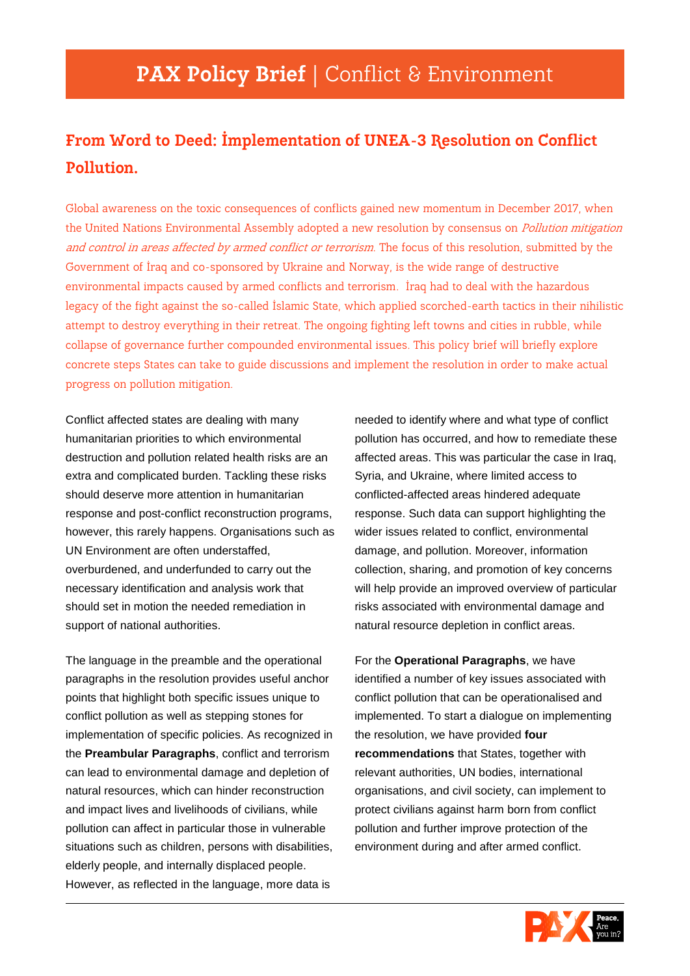## **From Word to Deed: Implementation of UNEA-3 Resolution on Conflict Pollution.**

Global awareness on the toxic consequences of conflicts gained new momentum in December 2017, when the United Nations Environmental Assembly adopted a new resolution by consensus on *Pollution mitigation* and control in areas affected by armed conflict or terrorism. The focus of this resolution, submitted by the Government of Iraq and co-sponsored by Ukraine and Norway, is the wide range of destructive environmental impacts caused by armed conflicts and terrorism. Iraq had to deal with the hazardous legacy of the fight against the so-called Islamic State, which applied scorched-earth tactics in their nihilistic attempt to destroy everything in their retreat. The ongoing fighting left towns and cities in rubble, while collapse of governance further compounded environmental issues. This policy brief will briefly explore concrete steps States can take to guide discussions and implement the resolution in order to make actual progress on pollution mitigation.

Conflict affected states are dealing with many humanitarian priorities to which environmental destruction and pollution related health risks are an extra and complicated burden. Tackling these risks should deserve more attention in humanitarian response and post-conflict reconstruction programs, however, this rarely happens. Organisations such as UN Environment are often understaffed, overburdened, and underfunded to carry out the necessary identification and analysis work that should set in motion the needed remediation in support of national authorities.

The language in the preamble and the operational paragraphs in the resolution provides useful anchor points that highlight both specific issues unique to conflict pollution as well as stepping stones for implementation of specific policies. As recognized in the **Preambular Paragraphs**, conflict and terrorism can lead to environmental damage and depletion of natural resources, which can hinder reconstruction and impact lives and livelihoods of civilians, while pollution can affect in particular those in vulnerable situations such as children, persons with disabilities, elderly people, and internally displaced people. However, as reflected in the language, more data is

needed to identify where and what type of conflict pollution has occurred, and how to remediate these affected areas. This was particular the case in Iraq, Syria, and Ukraine, where limited access to conflicted-affected areas hindered adequate response. Such data can support highlighting the wider issues related to conflict, environmental damage, and pollution. Moreover, information collection, sharing, and promotion of key concerns will help provide an improved overview of particular risks associated with environmental damage and natural resource depletion in conflict areas.

For the **Operational Paragraphs**, we have identified a number of key issues associated with conflict pollution that can be operationalised and implemented. To start a dialogue on implementing the resolution, we have provided **four recommendations** that States, together with relevant authorities, UN bodies, international organisations, and civil society, can implement to protect civilians against harm born from conflict pollution and further improve protection of the environment during and after armed conflict.